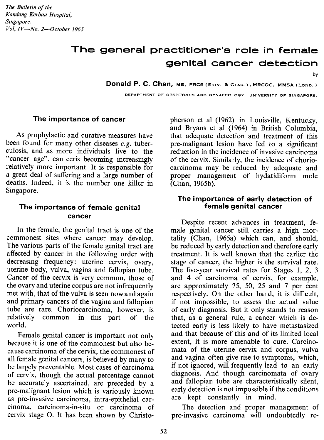*The Bulletin of the Kandang Kerbau Hospital, Singapore. Vol, IV-No. 2-0ctober 1965*

# **The general practitioner's role in female genital cancer detection**

by

**Donald P. C. Chan.** MS, FRCS (EDIN. BeGLAS.), MRCOG. MMSA (LOND.)

DEPARTMENT OF OBSTETRICS AND GYNAECOLOGY. UNIVERSITY OF SINGAPORE.

#### The importance of cancer

As prophylactic and curative measures have been found for many other diseases *e.g.* tuberculosis, and as more individuals live to the "cancer age", can ceris becoming increasingly relatively more important. It is responsible for a great deal of suffering and a large number of deaths. Indeed, it is the number one killer in Singapore.

### **The importance of female genital cancer**

In the female, the genital tract is one of the commonest sites where cancer may develop. The various parts of the female genital tract are affected by cancer in the following order with decreasing frequency: uterine cervix, ovary, uterine body, vulva, vagina and fallopian tube. Cancer of the cervix is very common, those of the ovary and uterine corpus are not infrequently met with, that of the vulva is seen now and again and primary cancers of the vagina and fallopian tube are rare. Choriocarcinoma, however, is relatively common in this part of the world.

Female genital cancer is important not only because it is one of the commonest but also because carcinoma of the cervix, the commonest of all female genital cancers, is believed by many to be largely preventable. Most cases of carcinoma of cervix, though the actual percentage cannot be accurately ascertained, are preceded by a pre-malignant lesion which is variously known as pre-invasive carcinoma, intra-epithelial carcinoma, carcinoma-in-situ or carcinoma of cervix stage O. It has been shown by Christopherson et al (1962) in Louisville, Kentucky. and Bryans et al (1964) in British Columbia, that adequate detection and treatment of this pre-malignant lesion have led to a significant reduction in the incidence of invasive carcinoma of the cervix. Similarly, the incidence of choriocarcinoma may be reduced by adequate and proper management of hydatidiform mole (Chan, 1965b).

#### **The importance of early detection of female genital cancer**

Despite recent advances in treatment, female genital cancer still carries a high mortality (Chan, 1965a) which can, and should, be reduced by early detection and therefore early treatment. It is well known that the earlier the stage of cancer, the higher is the survival rate. The five-year survival rates for Stages I, 2, 3 and 4 of carcinoma of cervix, for example, are approximately 75, 50, 25 and 7 per cent respectively. On the other hand, it is difficult, if not impossible, to assess the actual value of early diagnosis. But it only stands to reason that, as a general rule, a cancer which is detected early is less likely to have metastasized and that because of this and of its limited local extent, it is more amenable to cure. Carcinomata of the uterine cervix and corpus, vulva and vagina often give rise to symptoms, which, if not ignored, will frequently lead to an early diagnosis. And though carcinomata of ovary and fallopian tube are characteristically silent, early detection is not impossible if the conditions are kept constantly in mind.

The detection and proper management of pre-invasive carcinoma will undoubtedly re-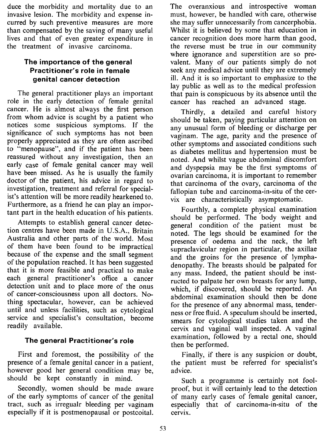duce the morbidity and mortality due to an invasive lesion. The morbidity and expense incurred by such preventive measures are more than compensated by the saving of many useful lives and that of even greater expenditure in the treatment of invasive carcinoma.

## **The importance of the general Practitioner's role in female genital cancer detection**

The general practitioner plays an important role in the early detection of female genital cancer. He is almost always the first person from whom advice is sought by a patient who notices some suspicious symptoms. If the significance of such symptoms has not been properly appreciated as they are often ascribed to "menopause", and if the patient has been reassured without any investigation, then an early case of female genital cancer may well have been missed. As he is usually the family doctor of the patient, his advice in regard to investigation, treatment and referral for specialist's attention will be more readily hearkened to. Furthermore, as a friend he can play an important part in the health education of his patients.

Attempts to establish general cancer detection centres have been made in U.S.A., Britain Australia and other parts of the world. Most of them have been found to be impractical because of the expense and the small segment of the population reached. It has been suggested that it is more feasible and practical to make each general practitioner's office a cancer detection unit and to place more of the onus of cancer-consciousness upon all doctors. Nothing spectacular, however, can be achieved until and unless facilities, such as cytological service and specialist's consultation, become readily available.

## **The general Practitioner's role**

First and foremost, the possibility of the presence of a female genital cancer in a patient, however good her general condition may be, should be kept constantly in mind.

Secondly, women should be made aware of the early symptoms of cancer of the genital tract, such as irregualr bleeding per vaginam especially if it is postmenopausal or postcoital.

The overanxious and introspective woman must, however, be handled with care, otherwise she may suffer unnecessarily from cancerphobia. Whilst it is believed by some that education in cancer recognition does more harm than good, the reverse must be true in our community where ignorance and superstition are so prevalent. Many of our patients simply do not seek any medical advice until they are extremely ill. And it is so important to emphasize to the lay public as well as to the medical profession that pain is conspicuous by its absence until the cancer has reached an advanced stage.

Thirdly, a detailed and careful history should be taken, paying particular attention on any unusual form of bleeding or discharge per vaginam. The age, parity and the presence of other symptoms and associated conditions such as diabetes mellitus and hypertension must be noted. And whilst vague abdominal discomfort and dyspepsia may be the first symptoms of ovarian carcinoma, it is important to remember that carcinoma of the ovary, carcinoma of the fallopian tube and carcinoma-in-situ of the cervix are characteristically asymptomatic.

Fourthly, a complete physical examination should be performed. The body weight and general condition of the patient must be noted. The legs should be examined for the presence of oedema and the neck, the left supraclavicular region in particular, the axillae and the groins for the presence of lymphadenopathy. The breasts should be palpated for any mass. Indeed, the patient should be instructed to palpate her own breasts for any lump, which, if discovered, should be reported. An abdominal examination should then be done for the presence of any abnormal mass, tenderness or free fluid. A speculum should be inserted, smears for cytological studies taken and the cervix and vaginal wall inspected. A vaginal examination, followed by a rectal one, should then be performed.

Finally, if there is any suspicion or doubt, the patient must be referred for specialist's advice.

Such a programme is certainly not foolproof, but it will certainly lead to the detection of many early cases of female genital cancer, especially that of carcinoma-in-situ of the cervix.